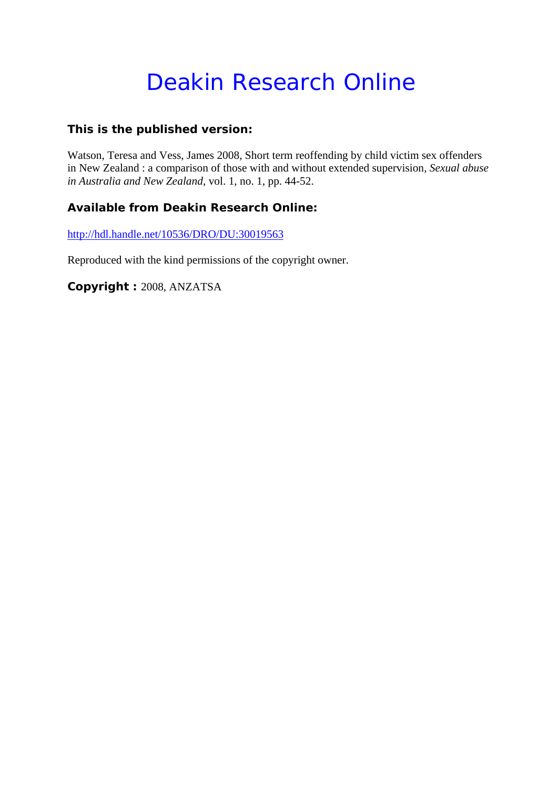# Deakin Research Online

# **This is the published version:**

Watson, Teresa and Vess, James 2008, Short term reoffending by child victim sex offenders in New Zealand : a comparison of those with and without extended supervision*, Sexual abuse in Australia and New Zealand*, vol. 1, no. 1, pp. 44-52.

# **Available from Deakin Research Online:**

http://hdl.handle.net/10536/DRO/DU:30019563

Reproduced with the kind permissions of the copyright owner.

**Copyright :** 2008, ANZATSA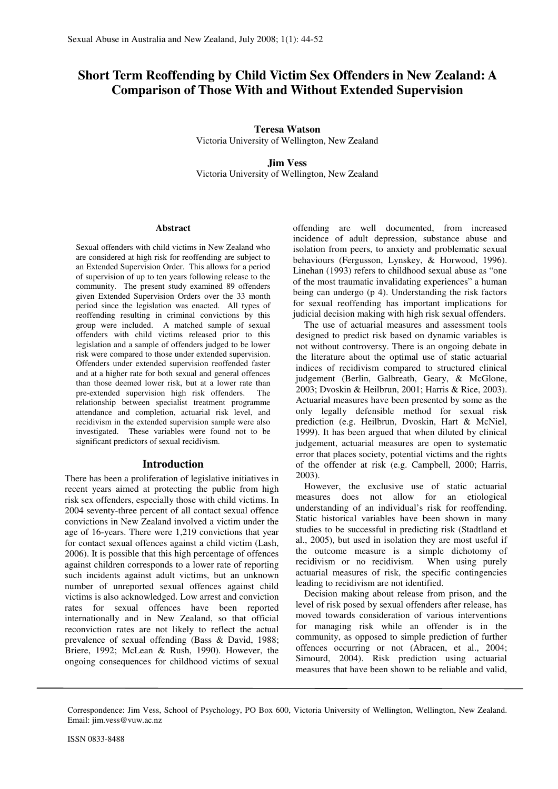# **Short Term Reoffending by Child Victim Sex Offenders in New Zealand: A Comparison of Those With and Without Extended Supervision**

**Teresa Watson**  Victoria University of Wellington, New Zealand

**Jim Vess**  Victoria University of Wellington, New Zealand

#### **Abstract**

Sexual offenders with child victims in New Zealand who are considered at high risk for reoffending are subject to an Extended Supervision Order. This allows for a period of supervision of up to ten years following release to the community. The present study examined 89 offenders given Extended Supervision Orders over the 33 month period since the legislation was enacted. All types of reoffending resulting in criminal convictions by this group were included. A matched sample of sexual offenders with child victims released prior to this legislation and a sample of offenders judged to be lower risk were compared to those under extended supervision. Offenders under extended supervision reoffended faster and at a higher rate for both sexual and general offences than those deemed lower risk, but at a lower rate than pre-extended supervision high risk offenders. The relationship between specialist treatment programme attendance and completion, actuarial risk level, and recidivism in the extended supervision sample were also investigated. These variables were found not to be significant predictors of sexual recidivism.

#### **Introduction**

There has been a proliferation of legislative initiatives in recent years aimed at protecting the public from high risk sex offenders, especially those with child victims. In 2004 seventy-three percent of all contact sexual offence convictions in New Zealand involved a victim under the age of 16-years. There were 1,219 convictions that year for contact sexual offences against a child victim (Lash, 2006). It is possible that this high percentage of offences against children corresponds to a lower rate of reporting such incidents against adult victims, but an unknown number of unreported sexual offences against child victims is also acknowledged. Low arrest and conviction rates for sexual offences have been reported internationally and in New Zealand, so that official reconviction rates are not likely to reflect the actual prevalence of sexual offending (Bass & David, 1988; Briere, 1992; McLean & Rush, 1990). However, the ongoing consequences for childhood victims of sexual offending are well documented, from increased incidence of adult depression, substance abuse and isolation from peers, to anxiety and problematic sexual behaviours (Fergusson, Lynskey, & Horwood, 1996). Linehan (1993) refers to childhood sexual abuse as "one of the most traumatic invalidating experiences" a human being can undergo (p 4). Understanding the risk factors for sexual reoffending has important implications for judicial decision making with high risk sexual offenders.

The use of actuarial measures and assessment tools designed to predict risk based on dynamic variables is not without controversy. There is an ongoing debate in the literature about the optimal use of static actuarial indices of recidivism compared to structured clinical judgement (Berlin, Galbreath, Geary, & McGlone, 2003; Dvoskin & Heilbrun, 2001; Harris & Rice, 2003). Actuarial measures have been presented by some as the only legally defensible method for sexual risk prediction (e.g. Heilbrun, Dvoskin, Hart & McNiel, 1999). It has been argued that when diluted by clinical judgement, actuarial measures are open to systematic error that places society, potential victims and the rights of the offender at risk (e.g. Campbell, 2000; Harris, 2003).

However, the exclusive use of static actuarial measures does not allow for an etiological understanding of an individual's risk for reoffending. Static historical variables have been shown in many studies to be successful in predicting risk (Stadtland et al., 2005), but used in isolation they are most useful if the outcome measure is a simple dichotomy of recidivism or no recidivism. When using purely actuarial measures of risk, the specific contingencies leading to recidivism are not identified.

Decision making about release from prison, and the level of risk posed by sexual offenders after release, has moved towards consideration of various interventions for managing risk while an offender is in the community, as opposed to simple prediction of further offences occurring or not (Abracen, et al., 2004; Simourd, 2004). Risk prediction using actuarial measures that have been shown to be reliable and valid,

Correspondence: Jim Vess, School of Psychology, PO Box 600, Victoria University of Wellington, Wellington, New Zealand. Email: jim.vess@vuw.ac.nz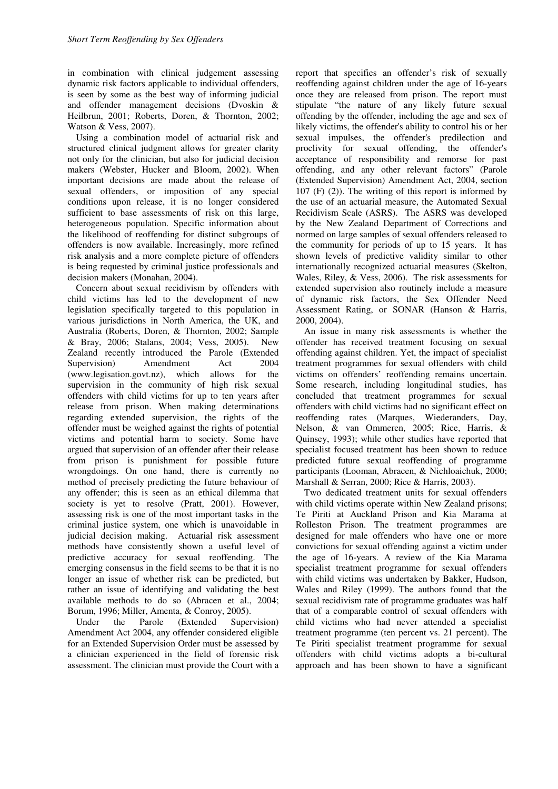in combination with clinical judgement assessing dynamic risk factors applicable to individual offenders, is seen by some as the best way of informing judicial and offender management decisions (Dvoskin & Heilbrun, 2001; Roberts, Doren, & Thornton, 2002; Watson & Vess, 2007).

Using a combination model of actuarial risk and structured clinical judgment allows for greater clarity not only for the clinician, but also for judicial decision makers (Webster, Hucker and Bloom, 2002). When important decisions are made about the release of sexual offenders, or imposition of any special conditions upon release, it is no longer considered sufficient to base assessments of risk on this large, heterogeneous population. Specific information about the likelihood of reoffending for distinct subgroups of offenders is now available. Increasingly, more refined risk analysis and a more complete picture of offenders is being requested by criminal justice professionals and decision makers (Monahan, 2004).

Concern about sexual recidivism by offenders with child victims has led to the development of new legislation specifically targeted to this population in various jurisdictions in North America, the UK, and Australia (Roberts, Doren, & Thornton, 2002; Sample & Bray, 2006; Stalans, 2004; Vess, 2005). New Zealand recently introduced the Parole (Extended Supervision) Amendment Act 2004 (www.legisation.govt.nz), which allows for the supervision in the community of high risk sexual offenders with child victims for up to ten years after release from prison. When making determinations regarding extended supervision, the rights of the offender must be weighed against the rights of potential victims and potential harm to society. Some have argued that supervision of an offender after their release from prison is punishment for possible future wrongdoings. On one hand, there is currently no method of precisely predicting the future behaviour of any offender; this is seen as an ethical dilemma that society is yet to resolve (Pratt, 2001). However, assessing risk is one of the most important tasks in the criminal justice system, one which is unavoidable in judicial decision making. Actuarial risk assessment methods have consistently shown a useful level of predictive accuracy for sexual reoffending. The emerging consensus in the field seems to be that it is no longer an issue of whether risk can be predicted, but rather an issue of identifying and validating the best available methods to do so (Abracen et al., 2004; Borum, 1996; Miller, Amenta, & Conroy, 2005).

Under the Parole (Extended Supervision) Amendment Act 2004, any offender considered eligible for an Extended Supervision Order must be assessed by a clinician experienced in the field of forensic risk assessment. The clinician must provide the Court with a

report that specifies an offender's risk of sexually reoffending against children under the age of 16-years once they are released from prison. The report must stipulate "the nature of any likely future sexual offending by the offender, including the age and sex of likely victims, the offender's ability to control his or her sexual impulses, the offender's predilection and proclivity for sexual offending, the offender's acceptance of responsibility and remorse for past offending, and any other relevant factors" (Parole (Extended Supervision) Amendment Act, 2004, section  $107$  (F)  $(2)$ ). The writing of this report is informed by the use of an actuarial measure, the Automated Sexual Recidivism Scale (ASRS). The ASRS was developed by the New Zealand Department of Corrections and normed on large samples of sexual offenders released to the community for periods of up to 15 years. It has shown levels of predictive validity similar to other internationally recognized actuarial measures (Skelton, Wales, Riley, & Vess, 2006). The risk assessments for extended supervision also routinely include a measure of dynamic risk factors, the Sex Offender Need Assessment Rating, or SONAR (Hanson & Harris, 2000, 2004).

An issue in many risk assessments is whether the offender has received treatment focusing on sexual offending against children. Yet, the impact of specialist treatment programmes for sexual offenders with child victims on offenders' reoffending remains uncertain. Some research, including longitudinal studies, has concluded that treatment programmes for sexual offenders with child victims had no significant effect on reoffending rates (Marques, Wiederanders, Day, Nelson, & van Ommeren, 2005; Rice, Harris, & Quinsey, 1993); while other studies have reported that specialist focused treatment has been shown to reduce predicted future sexual reoffending of programme participants (Looman, Abracen, & Nichloaichuk, 2000; Marshall & Serran, 2000; Rice & Harris, 2003).

Two dedicated treatment units for sexual offenders with child victims operate within New Zealand prisons; Te Piriti at Auckland Prison and Kia Marama at Rolleston Prison. The treatment programmes are designed for male offenders who have one or more convictions for sexual offending against a victim under the age of 16-years. A review of the Kia Marama specialist treatment programme for sexual offenders with child victims was undertaken by Bakker, Hudson, Wales and Riley (1999). The authors found that the sexual recidivism rate of programme graduates was half that of a comparable control of sexual offenders with child victims who had never attended a specialist treatment programme (ten percent vs. 21 percent). The Te Piriti specialist treatment programme for sexual offenders with child victims adopts a bi-cultural approach and has been shown to have a significant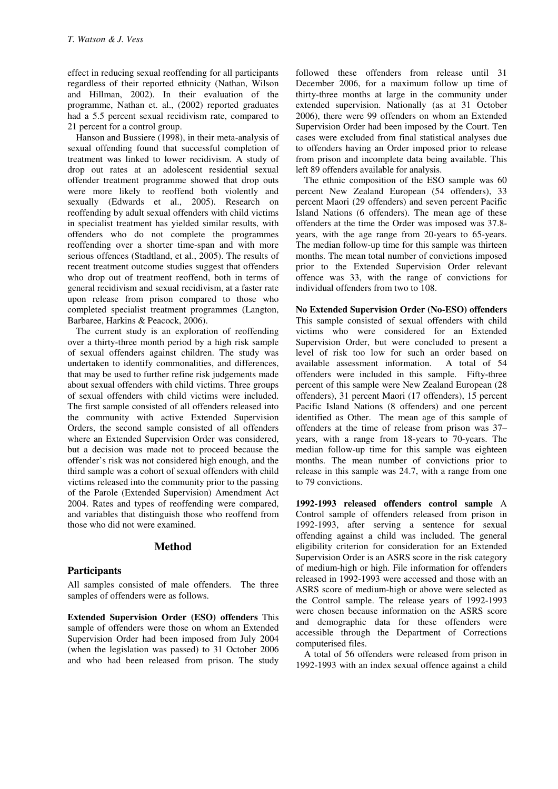effect in reducing sexual reoffending for all participants regardless of their reported ethnicity (Nathan, Wilson and Hillman, 2002). In their evaluation of the programme, Nathan et. al., (2002) reported graduates had a 5.5 percent sexual recidivism rate, compared to 21 percent for a control group.

Hanson and Bussiere (1998), in their meta-analysis of sexual offending found that successful completion of treatment was linked to lower recidivism. A study of drop out rates at an adolescent residential sexual offender treatment programme showed that drop outs were more likely to reoffend both violently and sexually (Edwards et al., 2005). Research on reoffending by adult sexual offenders with child victims in specialist treatment has yielded similar results, with offenders who do not complete the programmes reoffending over a shorter time-span and with more serious offences (Stadtland, et al., 2005). The results of recent treatment outcome studies suggest that offenders who drop out of treatment reoffend, both in terms of general recidivism and sexual recidivism, at a faster rate upon release from prison compared to those who completed specialist treatment programmes (Langton, Barbaree, Harkins & Peacock, 2006).

The current study is an exploration of reoffending over a thirty-three month period by a high risk sample of sexual offenders against children. The study was undertaken to identify commonalities, and differences, that may be used to further refine risk judgements made about sexual offenders with child victims. Three groups of sexual offenders with child victims were included. The first sample consisted of all offenders released into the community with active Extended Supervision Orders, the second sample consisted of all offenders where an Extended Supervision Order was considered, but a decision was made not to proceed because the offender's risk was not considered high enough, and the third sample was a cohort of sexual offenders with child victims released into the community prior to the passing of the Parole (Extended Supervision) Amendment Act 2004. Rates and types of reoffending were compared, and variables that distinguish those who reoffend from those who did not were examined.

#### **Method**

#### **Participants**

All samples consisted of male offenders. The three samples of offenders were as follows.

**Extended Supervision Order (ESO) offenders** This sample of offenders were those on whom an Extended Supervision Order had been imposed from July 2004 (when the legislation was passed) to 31 October 2006 and who had been released from prison. The study

followed these offenders from release until 31 December 2006, for a maximum follow up time of thirty-three months at large in the community under extended supervision. Nationally (as at 31 October 2006), there were 99 offenders on whom an Extended Supervision Order had been imposed by the Court. Ten cases were excluded from final statistical analyses due to offenders having an Order imposed prior to release from prison and incomplete data being available. This left 89 offenders available for analysis.

The ethnic composition of the ESO sample was 60 percent New Zealand European (54 offenders), 33 percent Maori (29 offenders) and seven percent Pacific Island Nations (6 offenders). The mean age of these offenders at the time the Order was imposed was 37.8 years, with the age range from 20-years to 65-years. The median follow-up time for this sample was thirteen months. The mean total number of convictions imposed prior to the Extended Supervision Order relevant offence was 33, with the range of convictions for individual offenders from two to 108.

**No Extended Supervision Order (No-ESO) offenders** This sample consisted of sexual offenders with child victims who were considered for an Extended Supervision Order, but were concluded to present a level of risk too low for such an order based on available assessment information. offenders were included in this sample. Fifty-three percent of this sample were New Zealand European (28 offenders), 31 percent Maori (17 offenders), 15 percent Pacific Island Nations (8 offenders) and one percent identified as Other. The mean age of this sample of offenders at the time of release from prison was 37– years, with a range from 18-years to 70-years. The median follow-up time for this sample was eighteen months. The mean number of convictions prior to release in this sample was 24.7, with a range from one to 79 convictions.

**1992-1993 released offenders control sample** A Control sample of offenders released from prison in 1992-1993, after serving a sentence for sexual offending against a child was included. The general eligibility criterion for consideration for an Extended Supervision Order is an ASRS score in the risk category of medium-high or high. File information for offenders released in 1992-1993 were accessed and those with an ASRS score of medium-high or above were selected as the Control sample. The release years of 1992-1993 were chosen because information on the ASRS score and demographic data for these offenders were accessible through the Department of Corrections computerised files.

A total of 56 offenders were released from prison in 1992-1993 with an index sexual offence against a child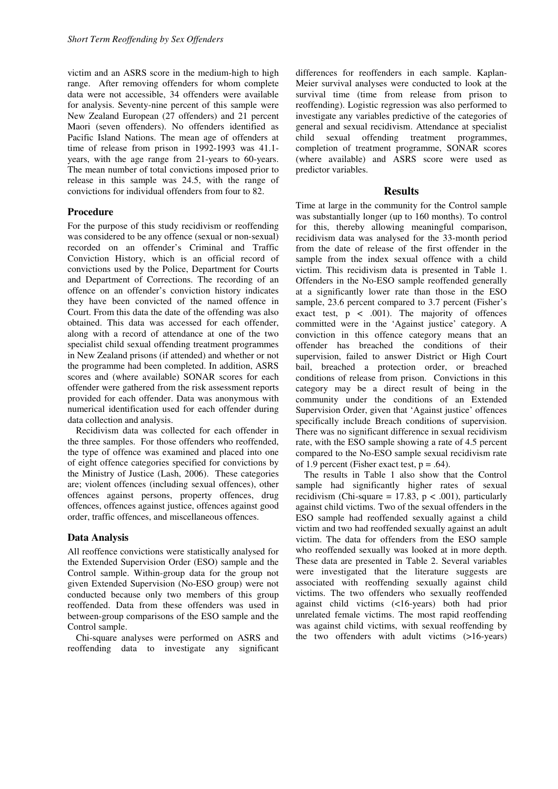victim and an ASRS score in the medium-high to high range. After removing offenders for whom complete data were not accessible, 34 offenders were available for analysis. Seventy-nine percent of this sample were New Zealand European (27 offenders) and 21 percent Maori (seven offenders). No offenders identified as Pacific Island Nations. The mean age of offenders at time of release from prison in 1992-1993 was 41.1 years, with the age range from 21-years to 60-years. The mean number of total convictions imposed prior to release in this sample was 24.5, with the range of convictions for individual offenders from four to 82.

#### **Procedure**

For the purpose of this study recidivism or reoffending was considered to be any offence (sexual or non-sexual) recorded on an offender's Criminal and Traffic Conviction History, which is an official record of convictions used by the Police, Department for Courts and Department of Corrections. The recording of an offence on an offender's conviction history indicates they have been convicted of the named offence in Court. From this data the date of the offending was also obtained. This data was accessed for each offender, along with a record of attendance at one of the two specialist child sexual offending treatment programmes in New Zealand prisons (if attended) and whether or not the programme had been completed. In addition, ASRS scores and (where available) SONAR scores for each offender were gathered from the risk assessment reports provided for each offender. Data was anonymous with numerical identification used for each offender during data collection and analysis.

Recidivism data was collected for each offender in the three samples. For those offenders who reoffended, the type of offence was examined and placed into one of eight offence categories specified for convictions by the Ministry of Justice (Lash, 2006). These categories are; violent offences (including sexual offences), other offences against persons, property offences, drug offences, offences against justice, offences against good order, traffic offences, and miscellaneous offences.

#### **Data Analysis**

All reoffence convictions were statistically analysed for the Extended Supervision Order (ESO) sample and the Control sample. Within-group data for the group not given Extended Supervision (No-ESO group) were not conducted because only two members of this group reoffended. Data from these offenders was used in between-group comparisons of the ESO sample and the Control sample.

Chi-square analyses were performed on ASRS and reoffending data to investigate any significant

differences for reoffenders in each sample. Kaplan-Meier survival analyses were conducted to look at the survival time (time from release from prison to reoffending). Logistic regression was also performed to investigate any variables predictive of the categories of general and sexual recidivism. Attendance at specialist child sexual offending treatment programmes, completion of treatment programme, SONAR scores (where available) and ASRS score were used as predictor variables.

#### **Results**

Time at large in the community for the Control sample was substantially longer (up to 160 months). To control for this, thereby allowing meaningful comparison, recidivism data was analysed for the 33-month period from the date of release of the first offender in the sample from the index sexual offence with a child victim. This recidivism data is presented in Table 1. Offenders in the No-ESO sample reoffended generally at a significantly lower rate than those in the ESO sample, 23.6 percent compared to 3.7 percent (Fisher's exact test,  $p \leq .001$ ). The majority of offences committed were in the 'Against justice' category. A conviction in this offence category means that an offender has breached the conditions of their supervision, failed to answer District or High Court bail, breached a protection order, or breached conditions of release from prison. Convictions in this category may be a direct result of being in the community under the conditions of an Extended Supervision Order, given that 'Against justice' offences specifically include Breach conditions of supervision. There was no significant difference in sexual recidivism rate, with the ESO sample showing a rate of 4.5 percent compared to the No-ESO sample sexual recidivism rate of 1.9 percent (Fisher exact test,  $p = .64$ ).

The results in Table 1 also show that the Control sample had significantly higher rates of sexual recidivism (Chi-square = 17.83,  $p < .001$ ), particularly against child victims. Two of the sexual offenders in the ESO sample had reoffended sexually against a child victim and two had reoffended sexually against an adult victim. The data for offenders from the ESO sample who reoffended sexually was looked at in more depth. These data are presented in Table 2. Several variables were investigated that the literature suggests are associated with reoffending sexually against child victims. The two offenders who sexually reoffended against child victims (<16-years) both had prior unrelated female victims. The most rapid reoffending was against child victims, with sexual reoffending by the two offenders with adult victims (>16-years)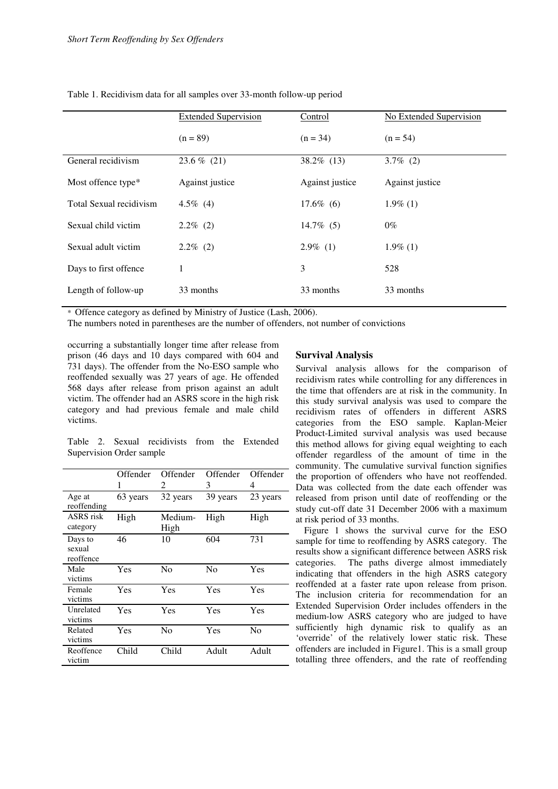|                         | <b>Extended Supervision</b> | Control         | No Extended Supervision |  |
|-------------------------|-----------------------------|-----------------|-------------------------|--|
|                         | $(n = 89)$                  | $(n = 34)$      | $(n = 54)$              |  |
| General recidivism      | $23.6\%$ (21)               | $38.2\%$ (13)   | $3.7\%$ (2)             |  |
| Most offence type*      | Against justice             | Against justice | Against justice         |  |
| Total Sexual recidivism | $4.5\%$ (4)                 | $17.6\%$ (6)    | $1.9\%$ (1)             |  |
| Sexual child victim     | $2.2\%$ (2)                 | $14.7\%$ (5)    | $0\%$                   |  |
| Sexual adult victim     | $2.2\%$ (2)                 | $2.9\%$ (1)     | $1.9\%$ (1)             |  |
| Days to first offence   | 1                           | 3               | 528                     |  |
| Length of follow-up     | 33 months                   | 33 months       | 33 months               |  |

Table 1. Recidivism data for all samples over 33-month follow-up period

\* Offence category as defined by Ministry of Justice (Lash, 2006).

The numbers noted in parentheses are the number of offenders, not number of convictions

occurring a substantially longer time after release from prison (46 days and 10 days compared with 604 and 731 days). The offender from the No-ESO sample who reoffended sexually was 27 years of age. He offended 568 days after release from prison against an adult victim. The offender had an ASRS score in the high risk category and had previous female and male child victims.

Table 2. Sexual recidivists from the Extended Supervision Order sample

|                                | Offender<br>1 | Offender<br>2   | Offender<br>3  | Offender<br>4 |
|--------------------------------|---------------|-----------------|----------------|---------------|
| Age at<br>reoffending          | 63 years      | 32 years        | 39 years       | 23 years      |
| ASRS risk<br>category          | High          | Medium-<br>High | High           | High          |
| Days to<br>sexual<br>reoffence | 46            | 10              | 604            | 731           |
| Male<br>victims                | Yes           | N <sub>0</sub>  | N <sub>0</sub> | Yes           |
| Female<br>victims              | Yes           | Yes             | Yes            | Yes           |
| Unrelated<br>victims           | Yes           | Yes             | Yes            | Yes           |
| Related<br>victims             | Yes           | No              | Yes            | No            |
| Reoffence<br>victim            | Child         | Child           | Adult          | Adult         |

## **Survival Analysis**

Survival analysis allows for the comparison of recidivism rates while controlling for any differences in the time that offenders are at risk in the community. In this study survival analysis was used to compare the recidivism rates of offenders in different ASRS categories from the ESO sample. Kaplan-Meier Product-Limited survival analysis was used because this method allows for giving equal weighting to each offender regardless of the amount of time in the community. The cumulative survival function signifies the proportion of offenders who have not reoffended. Data was collected from the date each offender was released from prison until date of reoffending or the study cut-off date 31 December 2006 with a maximum at risk period of 33 months.

 Figure 1 shows the survival curve for the ESO sample for time to reoffending by ASRS category. The results show a significant difference between ASRS risk categories. The paths diverge almost immediately indicating that offenders in the high ASRS category reoffended at a faster rate upon release from prison. The inclusion criteria for recommendation for an Extended Supervision Order includes offenders in the medium-low ASRS category who are judged to have sufficiently high dynamic risk to qualify as an 'override' of the relatively lower static risk. These offenders are included in Figure1. This is a small group totalling three offenders, and the rate of reoffending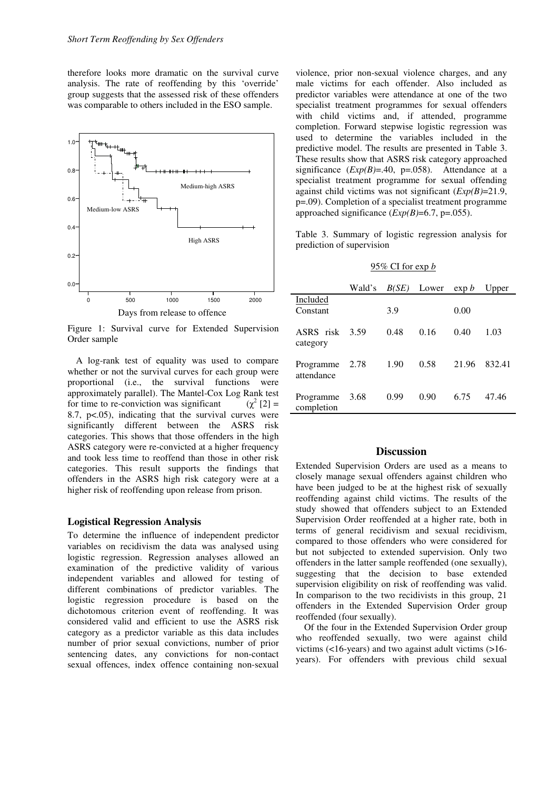therefore looks more dramatic on the survival curve analysis. The rate of reoffending by this 'override' group suggests that the assessed risk of these offenders was comparable to others included in the ESO sample.



Figure 1: Survival curve for Extended Supervision Order sample

 A log-rank test of equality was used to compare whether or not the survival curves for each group were proportional (i.e., the survival functions were approximately parallel). The Mantel-Cox Log Rank test for time to re-conviction was significant  $2^{2}[2] =$ 8.7, p<.05), indicating that the survival curves were significantly different between the ASRS risk categories. This shows that those offenders in the high ASRS category were re-convicted at a higher frequency and took less time to reoffend than those in other risk categories. This result supports the findings that offenders in the ASRS high risk category were at a higher risk of reoffending upon release from prison.

### **Logistical Regression Analysis**

To determine the influence of independent predictor variables on recidivism the data was analysed using logistic regression. Regression analyses allowed an examination of the predictive validity of various independent variables and allowed for testing of different combinations of predictor variables. The logistic regression procedure is based on the dichotomous criterion event of reoffending. It was considered valid and efficient to use the ASRS risk category as a predictor variable as this data includes number of prior sexual convictions, number of prior sentencing dates, any convictions for non-contact sexual offences, index offence containing non-sexual

violence, prior non-sexual violence charges, and any male victims for each offender. Also included as predictor variables were attendance at one of the two specialist treatment programmes for sexual offenders with child victims and, if attended, programme completion. Forward stepwise logistic regression was used to determine the variables included in the predictive model. The results are presented in Table 3. These results show that ASRS risk category approached significance  $(EXp(B)=.40, p=.058)$ . Attendance at a specialist treatment programme for sexual offending against child victims was not significant (*Exp(B)*=21.9, p=.09). Completion of a specialist treatment programme approached significance (*Exp(B)*=6.7, p=.055).

Table 3. Summary of logistic regression analysis for prediction of supervision

#### 95% CI for exp *b*

|                         | Wald's | B(SE) | Lower | $\exp b$ | Upper  |
|-------------------------|--------|-------|-------|----------|--------|
| Included<br>Constant    |        | 3.9   |       | 0.00     |        |
| ASRS risk<br>category   | 3.59   | 0.48  | 0.16  | 0.40     | 1.03   |
| Programme<br>attendance | 2.78   | 1.90  | 0.58  | 21.96    | 832.41 |
| Programme<br>completion | 3.68   | 0.99  | 0.90  | 6.75     | 47.46  |

## **Discussion**

Extended Supervision Orders are used as a means to closely manage sexual offenders against children who have been judged to be at the highest risk of sexually reoffending against child victims. The results of the study showed that offenders subject to an Extended Supervision Order reoffended at a higher rate, both in terms of general recidivism and sexual recidivism, compared to those offenders who were considered for but not subjected to extended supervision. Only two offenders in the latter sample reoffended (one sexually), suggesting that the decision to base extended supervision eligibility on risk of reoffending was valid. In comparison to the two recidivists in this group, 21 offenders in the Extended Supervision Order group reoffended (four sexually).

Of the four in the Extended Supervision Order group who reoffended sexually, two were against child victims (<16-years) and two against adult victims (>16 years). For offenders with previous child sexual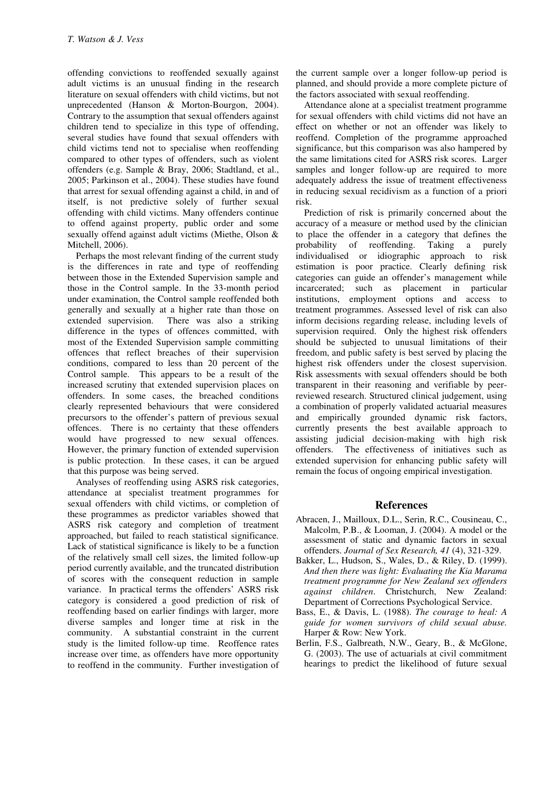offending convictions to reoffended sexually against adult victims is an unusual finding in the research literature on sexual offenders with child victims, but not unprecedented (Hanson & Morton-Bourgon, 2004). Contrary to the assumption that sexual offenders against children tend to specialize in this type of offending, several studies have found that sexual offenders with child victims tend not to specialise when reoffending compared to other types of offenders, such as violent offenders (e.g. Sample & Bray, 2006; Stadtland, et al., 2005; Parkinson et al., 2004). These studies have found that arrest for sexual offending against a child, in and of itself, is not predictive solely of further sexual offending with child victims. Many offenders continue to offend against property, public order and some sexually offend against adult victims (Miethe, Olson & Mitchell, 2006).

Perhaps the most relevant finding of the current study is the differences in rate and type of reoffending between those in the Extended Supervision sample and those in the Control sample. In the 33-month period under examination, the Control sample reoffended both generally and sexually at a higher rate than those on extended supervision. There was also a striking difference in the types of offences committed, with most of the Extended Supervision sample committing offences that reflect breaches of their supervision conditions, compared to less than 20 percent of the Control sample. This appears to be a result of the increased scrutiny that extended supervision places on offenders. In some cases, the breached conditions clearly represented behaviours that were considered precursors to the offender's pattern of previous sexual offences. There is no certainty that these offenders would have progressed to new sexual offences. However, the primary function of extended supervision is public protection. In these cases, it can be argued that this purpose was being served.

Analyses of reoffending using ASRS risk categories, attendance at specialist treatment programmes for sexual offenders with child victims, or completion of these programmes as predictor variables showed that ASRS risk category and completion of treatment approached, but failed to reach statistical significance. Lack of statistical significance is likely to be a function of the relatively small cell sizes, the limited follow-up period currently available, and the truncated distribution of scores with the consequent reduction in sample variance. In practical terms the offenders' ASRS risk category is considered a good prediction of risk of reoffending based on earlier findings with larger, more diverse samples and longer time at risk in the community. A substantial constraint in the current study is the limited follow-up time. Reoffence rates increase over time, as offenders have more opportunity to reoffend in the community. Further investigation of

the current sample over a longer follow-up period is planned, and should provide a more complete picture of the factors associated with sexual reoffending.

Attendance alone at a specialist treatment programme for sexual offenders with child victims did not have an effect on whether or not an offender was likely to reoffend. Completion of the programme approached significance, but this comparison was also hampered by the same limitations cited for ASRS risk scores. Larger samples and longer follow-up are required to more adequately address the issue of treatment effectiveness in reducing sexual recidivism as a function of a priori risk.

Prediction of risk is primarily concerned about the accuracy of a measure or method used by the clinician to place the offender in a category that defines the probability of reoffending. Taking a purely probability of reoffending. individualised or idiographic approach to risk estimation is poor practice. Clearly defining risk categories can guide an offender's management while incarcerated; such as placement in particular institutions, employment options and access to treatment programmes. Assessed level of risk can also inform decisions regarding release, including levels of supervision required. Only the highest risk offenders should be subjected to unusual limitations of their freedom, and public safety is best served by placing the highest risk offenders under the closest supervision. Risk assessments with sexual offenders should be both transparent in their reasoning and verifiable by peerreviewed research. Structured clinical judgement, using a combination of properly validated actuarial measures and empirically grounded dynamic risk factors, currently presents the best available approach to assisting judicial decision-making with high risk offenders. The effectiveness of initiatives such as extended supervision for enhancing public safety will remain the focus of ongoing empirical investigation.

## **References**

- Abracen, J., Mailloux, D.L., Serin, R.C., Cousineau, C., Malcolm, P.B., & Looman, J. (2004). A model or the assessment of static and dynamic factors in sexual offenders. *Journal of Sex Research, 41* (4), 321-329.
- Bakker, L., Hudson, S., Wales, D., & Riley, D. (1999). *And then there was light: Evaluating the Kia Marama treatment programme for New Zealand sex offenders against children*. Christchurch, New Zealand: Department of Corrections Psychological Service.
- Bass, E., & Davis, L. (1988). *The courage to heal: A guide for women survivors of child sexual abuse.* Harper & Row: New York.
- Berlin, F.S., Galbreath, N.W., Geary, B., & McGlone, G. (2003). The use of actuarials at civil commitment hearings to predict the likelihood of future sexual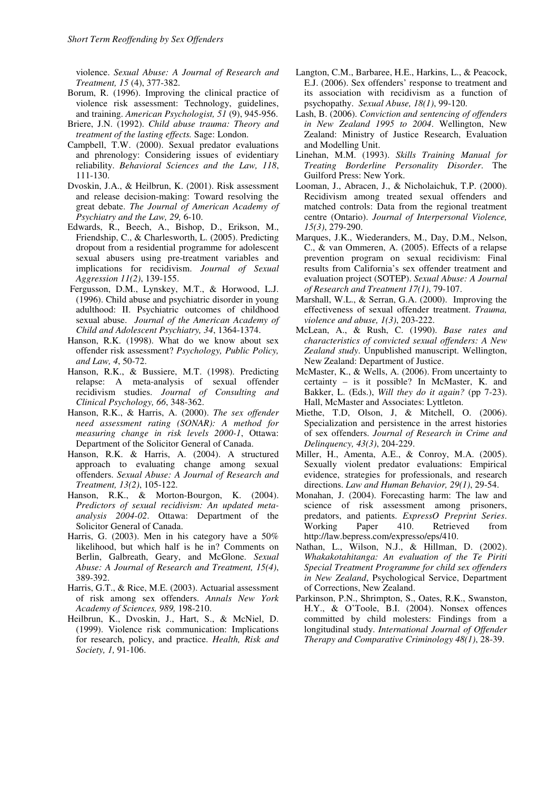violence. *Sexual Abuse: A Journal of Research and Treatment, 15* (4), 377-382.

- Borum, R. (1996). Improving the clinical practice of violence risk assessment: Technology, guidelines, and training. *American Psychologist, 51* (9), 945-956.
- Briere, J.N. (1992). *Child abuse trauma: Theory and treatment of the lasting effects.* Sage: London.
- Campbell, T.W. (2000). Sexual predator evaluations and phrenology: Considering issues of evidentiary reliability. *Behavioral Sciences and the Law, 118*, 111-130.
- Dvoskin, J.A., & Heilbrun, K. (2001). Risk assessment and release decision-making: Toward resolving the great debate. *The Journal of American Academy of Psychiatry and the Law, 29,* 6-10.
- Edwards, R., Beech, A., Bishop, D., Erikson, M., Friendship, C., & Charlesworth, L. (2005). Predicting dropout from a residential programme for adolescent sexual abusers using pre-treatment variables and implications for recidivism. *Journal of Sexual Aggression 11(2)*, 139-155.
- Fergusson, D.M., Lynskey, M.T., & Horwood, L.J. (1996). Child abuse and psychiatric disorder in young adulthood: II. Psychiatric outcomes of childhood sexual abuse. *Journal of the American Academy of Child and Adolescent Psychiatry, 34*, 1364-1374.
- Hanson, R.K. (1998). What do we know about sex offender risk assessment? *Psychology, Public Policy, and Law, 4*, 50-72.
- Hanson, R.K., & Bussiere, M.T. (1998). Predicting relapse: A meta-analysis of sexual offender recidivism studies. *Journal of Consulting and Clinical Psychology, 66*, 348-362.
- Hanson, R.K., & Harris, A. (2000). *The sex offender need assessment rating (SONAR): A method for measuring change in risk levels 2000-1*, Ottawa: Department of the Solicitor General of Canada.
- Hanson, R.K. & Harris, A. (2004). A structured approach to evaluating change among sexual offenders. *Sexual Abuse: A Journal of Research and Treatment, 13(2)*, 105-122.
- Hanson, R.K., & Morton-Bourgon, K. (2004). *Predictors of sexual recidivism: An updated metaanalysis 2004-02*. Ottawa: Department of the Solicitor General of Canada.
- Harris, G. (2003). Men in his category have a 50% likelihood, but which half is he in? Comments on Berlin, Galbreath, Geary, and McGlone. *Sexual Abuse: A Journal of Research and Treatment, 15(4)*, 389-392.
- Harris, G.T., & Rice, M.E. (2003). Actuarial assessment of risk among sex offenders. *Annals New York Academy of Sciences, 989,* 198-210.
- Heilbrun, K., Dvoskin, J., Hart, S., & McNiel, D. (1999). Violence risk communication: Implications for research, policy, and practice. *Health, Risk and Society, 1,* 91-106.
- Langton, C.M., Barbaree, H.E., Harkins, L., & Peacock, E.J. (2006). Sex offenders' response to treatment and its association with recidivism as a function of psychopathy. *Sexual Abuse, 18(1)*, 99-120.
- Lash, B. (2006). *Conviction and sentencing of offenders in New Zealand 1995 to 2004*. Wellington, New Zealand: Ministry of Justice Research, Evaluation and Modelling Unit.
- Linehan, M.M. (1993). *Skills Training Manual for Treating Borderline Personality Disorder*. The Guilford Press: New York.
- Looman, J., Abracen, J., & Nicholaichuk, T.P. (2000). Recidivism among treated sexual offenders and matched controls: Data from the regional treatment centre (Ontario). *Journal of Interpersonal Violence, 15(3)*, 279-290.
- Marques, J.K., Wiederanders, M., Day, D.M., Nelson, C., & van Ommeren, A. (2005). Effects of a relapse prevention program on sexual recidivism: Final results from California's sex offender treatment and evaluation project (SOTEP). *Sexual Abuse: A Journal of Research and Treatment 17(1)*, 79-107.
- Marshall, W.L., & Serran, G.A. (2000). Improving the effectiveness of sexual offender treatment. *Trauma, violence and abuse, 1(3)*, 203-222.
- McLean, A., & Rush, C. (1990). *Base rates and characteristics of convicted sexual offenders: A New Zealand study*. Unpublished manuscript. Wellington, New Zealand: Department of Justice.
- McMaster, K., & Wells, A. (2006). From uncertainty to certainty – is it possible? In McMaster, K. and Bakker, L. (Eds.), *Will they do it again?* (pp 7-23). Hall, McMaster and Associates: Lyttleton.
- Miethe, T.D, Olson, J, & Mitchell, O. (2006). Specialization and persistence in the arrest histories of sex offenders. *Journal of Research in Crime and Delinquency, 43(3)*, 204-229.
- Miller, H., Amenta, A.E., & Conroy, M.A. (2005). Sexually violent predator evaluations: Empirical evidence, strategies for professionals, and research directions. *Law and Human Behavior, 29(1)*, 29-54.
- Monahan, J. (2004). Forecasting harm: The law and science of risk assessment among prisoners, predators, and patients. *ExpressO Preprint Series*. Working Paper 410. Retrieved from http://law.bepress.com/expresso/eps/410.
- Nathan, L., Wilson, N.J., & Hillman, D. (2002). *Whakakotahitanga: An evaluation of the Te Piriti Special Treatment Programme for child sex offenders in New Zealand*, Psychological Service, Department of Corrections, New Zealand.
- Parkinson, P.N., Shrimpton, S., Oates, R.K., Swanston, H.Y., & O'Toole, B.I. (2004). Nonsex offences committed by child molesters: Findings from a longitudinal study. *International Journal of Offender Therapy and Comparative Criminology 48(1)*, 28-39.